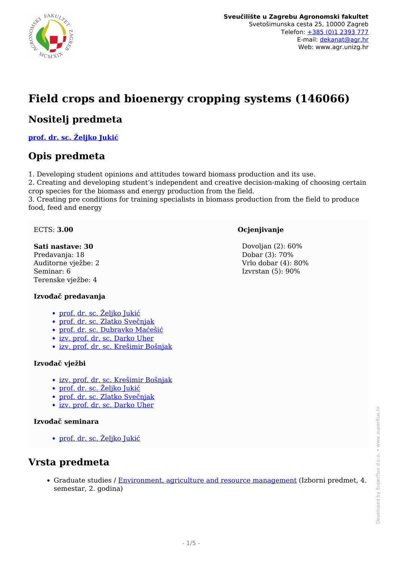

# **Field crops and bioenergy cropping systems (146066)**

### **Nositelj predmeta**

**[prof. dr. sc. Željko Jukić](/hr/member/74)**

### **Opis predmeta**

1. Developing student opinions and attitudes toward biomass production and its use.

2. Creating and developing student's independent and creative decision-making of choosing certain crop species for the biomass and energy production from the field.

3. Creating pre conditions for training specialists in biomass production from the field to produce food, feed and energy

#### ECTS: **3.00**

#### **Sati nastave: 30**

Predavanja: 18 Auditorne vježbe: 2 Seminar: 6 Terenske vježbe: 4

#### **Izvođač predavanja**

- [prof. dr. sc. Željko Jukić](/hr/member/74)
- [prof. dr. sc. Zlatko Svečnjak](/hr/member/89)
- [prof. dr. sc. Dubravko Maćešić](/hr/member/80)
- [izv. prof. dr. sc. Darko Uher](/hr/member/130)
- [izv. prof. dr. sc. Krešimir Bošnjak](/hr/member/102)

#### **Izvođač vježbi**

- [izv. prof. dr. sc. Krešimir Bošnjak](/hr/member/102)
- [prof. dr. sc. Željko Jukić](/hr/member/74)
- [prof. dr. sc. Zlatko Svečnjak](/hr/member/89)
- [izv. prof. dr. sc. Darko Uher](/hr/member/130)

#### **Izvođač seminara**

• <u>[prof. dr. sc. Željko Jukić](/hr/member/74)</u>

### **Vrsta predmeta**

Graduate studies / [Environment, agriculture and resource management](/hr/study/en/3/Environment%2C+agriculture+and+resource+management) (Izborni predmet, 4. semestar, 2. godina)

#### **Ocjenjivanje**

 Dovoljan (2): 60% Dobar (3): 70% Vrlo dobar (4): 80% Izvrstan (5): 90%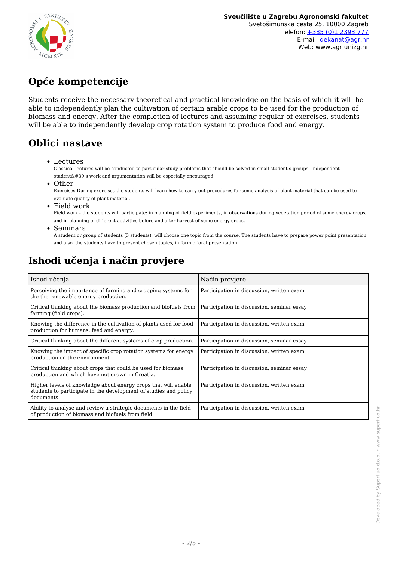

# **Opće kompetencije**

Students receive the necessary theoretical and practical knowledge on the basis of which it will be able to independently plan the cultivation of certain arable crops to be used for the production of biomass and energy. After the completion of lectures and assuming regular of exercises, students will be able to independently develop crop rotation system to produce food and energy.

### **Oblici nastave**

Lectures

Classical lectures will be conducted to particular study problems that should be solved in small student's groups. Independent  $student'$ s work and argumentation will be especially encouraged.

• Other

Exercises During exercises the students will learn how to carry out procedures for some analysis of plant material that can be used to evaluate quality of plant material.

Field work

Field work - the students will participate: in planning of field experiments, in observations during vegetation period of some energy crops, and in planning of different activities before and after harvest of some energy crops.

Seminars

A student or group of students (3 students), will choose one topic from the course. The students have to prepare power point presentation and also, the students have to present chosen topics, in form of oral presentation.

# **Ishodi učenja i način provjere**

| Ishod učenja                                                                                                                                     | Način provjere                             |
|--------------------------------------------------------------------------------------------------------------------------------------------------|--------------------------------------------|
| Perceiving the importance of farming and cropping systems for<br>the the renewable energy production.                                            | Participation in discussion, written exam  |
| Critical thinking about the biomass production and biofuels from<br>farming (field crops).                                                       | Participation in discussion, seminar essay |
| Knowing the difference in the cultivation of plants used for food<br>production for humans, feed and energy.                                     | Participation in discussion, written exam  |
| Critical thinking about the different systems of crop production.                                                                                | Participation in discussion, seminar essay |
| Knowing the impact of specific crop rotation systems for energy<br>production on the environment.                                                | Participation in discussion, written exam  |
| Critical thinking about crops that could be used for biomass<br>production and which have not grown in Croatia.                                  | Participation in discussion, seminar essay |
| Higher levels of knowledge about energy crops that will enable<br>students to participate in the development of studies and policy<br>documents. | Participation in discussion, written exam  |
| Ability to analyse and review a strategic documents in the field<br>of production of biomass and biofuels from field                             | Participation in discussion, written exam  |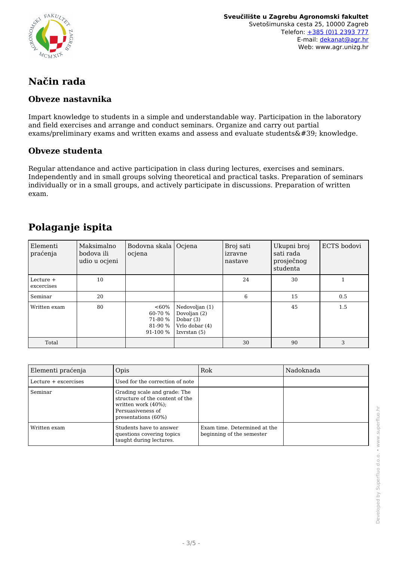

**Sveučilište u Zagrebu Agronomski fakultet** Svetošimunska cesta 25, 10000 Zagreb Telefon: [+385 \(0\)1 2393 777](tel:+38512393777) E-mail: [dekanat@agr.hr](mailto:dekanat@agr.hr) Web: www.agr.unizg.hr

## **Način rada**

#### **Obveze nastavnika**

Impart knowledge to students in a simple and understandable way. Participation in the laboratory and field exercises and arrange and conduct seminars. Organize and carry out partial exams/preliminary exams and written exams and assess and evaluate students $'$ ; knowledge.

#### **Obveze studenta**

Regular attendance and active participation in class during lectures, exercises and seminars. Independently and in small groups solving theoretical and practical tasks. Preparation of seminars individually or in a small groups, and actively participate in discussions. Preparation of written exam.

### **Polaganje ispita**

| Elementi<br>praćenja      | Maksimalno<br>bodova ili<br>udio u ocjeni | Bodovna skala   Ocjena<br>ocjena                     |                                                                                 | Broj sati<br>izravne<br>nastave | Ukupni broj<br>sati rada<br>prosječnog<br>studenta | ECTS bodovi |
|---------------------------|-------------------------------------------|------------------------------------------------------|---------------------------------------------------------------------------------|---------------------------------|----------------------------------------------------|-------------|
| Lecture $+$<br>excercises | 10                                        |                                                      |                                                                                 | 24                              | 30                                                 |             |
| Seminar                   | 20                                        |                                                      |                                                                                 | 6                               | 15                                                 | 0.5         |
| Written exam              | 80                                        | $<60\%$<br>60-70 %<br>71-80 %<br>81-90 %<br>91-100 % | Nedovoljan (1)<br>Dovoljan (2)<br>Dobar $(3)$<br>Vrlo dobar (4)<br>Izvrstan (5) |                                 | 45                                                 | 1.5         |
| Total                     |                                           |                                                      |                                                                                 | 30                              | 90                                                 | 3           |

| Elementi praćenja    | Opis                                                                                                                                   | Rok                                                       | Nadoknada |
|----------------------|----------------------------------------------------------------------------------------------------------------------------------------|-----------------------------------------------------------|-----------|
| Lecture + excercises | Used for the correction of note                                                                                                        |                                                           |           |
| Seminar              | Grading scale and grade: The<br>structure of the content of the<br>written work $(40\%)$ ;<br>Persuasiveness of<br>presentations (60%) |                                                           |           |
| Written exam         | Students have to answer<br>questions covering topics<br>taught during lectures.                                                        | Exam time. Determined at the<br>beginning of the semester |           |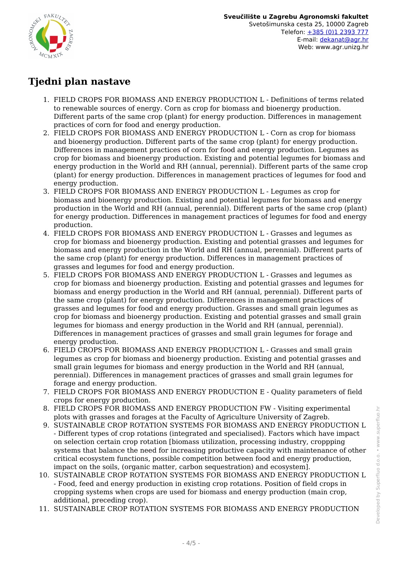

## **Tjedni plan nastave**

- 1. FIELD CROPS FOR BIOMASS AND ENERGY PRODUCTION L Definitions of terms related to renewable sources of energy. Corn as crop for biomass and bioenergy production. Different parts of the same crop (plant) for energy production. Differences in management practices of corn for food and energy production.
- 2. FIELD CROPS FOR BIOMASS AND ENERGY PRODUCTION L Corn as crop for biomass and bioenergy production. Different parts of the same crop (plant) for energy production. Differences in management practices of corn for food and energy production. Legumes as crop for biomass and bioenergy production. Existing and potential legumes for biomass and energy production in the World and RH (annual, perennial). Different parts of the same crop (plant) for energy production. Differences in management practices of legumes for food and energy production.
- 3. FIELD CROPS FOR BIOMASS AND ENERGY PRODUCTION L Legumes as crop for biomass and bioenergy production. Existing and potential legumes for biomass and energy production in the World and RH (annual, perennial). Different parts of the same crop (plant) for energy production. Differences in management practices of legumes for food and energy production.
- 4. FIELD CROPS FOR BIOMASS AND ENERGY PRODUCTION L Grasses and legumes as crop for biomass and bioenergy production. Existing and potential grasses and legumes for biomass and energy production in the World and RH (annual, perennial). Different parts of the same crop (plant) for energy production. Differences in management practices of grasses and legumes for food and energy production.
- 5. FIELD CROPS FOR BIOMASS AND ENERGY PRODUCTION L Grasses and legumes as crop for biomass and bioenergy production. Existing and potential grasses and legumes for biomass and energy production in the World and RH (annual, perennial). Different parts of the same crop (plant) for energy production. Differences in management practices of grasses and legumes for food and energy production. Grasses and small grain legumes as crop for biomass and bioenergy production. Existing and potential grasses and small grain legumes for biomass and energy production in the World and RH (annual, perennial). Differences in management practices of grasses and small grain legumes for forage and energy production.
- 6. FIELD CROPS FOR BIOMASS AND ENERGY PRODUCTION L Grasses and small grain legumes as crop for biomass and bioenergy production. Existing and potential grasses and small grain legumes for biomass and energy production in the World and RH (annual, perennial). Differences in management practices of grasses and small grain legumes for forage and energy production.
- 7. FIELD CROPS FOR BIOMASS AND ENERGY PRODUCTION E Quality parameters of field crops for energy production.
- 8. FIELD CROPS FOR BIOMASS AND ENERGY PRODUCTION FW Visiting experimental plots with grasses and forages at the Faculty of Agriculture University of Zagreb.
- 9. SUSTAINABLE CROP ROTATION SYSTEMS FOR BIOMASS AND ENERGY PRODUCTION L - Different types of crop rotations (integrated and specialised). Factors which have impact on selection certain crop rotation [biomass utilization, processing industry, croppping systems that balance the need for increasing productive capacity with maintenance of other critical ecosystem functions, possible competition between food and energy production, impact on the soils, (organic matter, carbon sequestration) and ecosystem].
- 10. SUSTAINABLE CROP ROTATION SYSTEMS FOR BIOMASS AND ENERGY PRODUCTION L - Food, feed and energy production in existing crop rotations. Position of field crops in cropping systems when crops are used for biomass and energy production (main crop, additional, preceding crop).
- 11. SUSTAINABLE CROP ROTATION SYSTEMS FOR BIOMASS AND ENERGY PRODUCTION